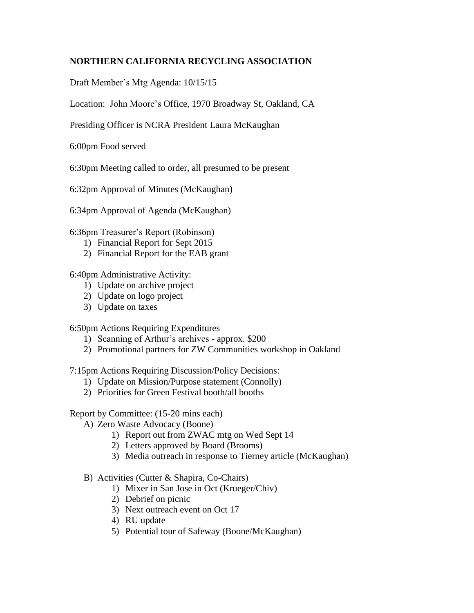## **NORTHERN CALIFORNIA RECYCLING ASSOCIATION**

Draft Member's Mtg Agenda: 10/15/15

Location: John Moore's Office, 1970 Broadway St, Oakland, CA

Presiding Officer is NCRA President Laura McKaughan

6:00pm Food served

6:30pm Meeting called to order, all presumed to be present

6:32pm Approval of Minutes (McKaughan)

6:34pm Approval of Agenda (McKaughan)

6:36pm Treasurer's Report (Robinson)

- 1) Financial Report for Sept 2015
- 2) Financial Report for the EAB grant

6:40pm Administrative Activity:

- 1) Update on archive project
- 2) Update on logo project
- 3) Update on taxes

6:50pm Actions Requiring Expenditures

- 1) Scanning of Arthur's archives approx. \$200
- 2) Promotional partners for ZW Communities workshop in Oakland

7:15pm Actions Requiring Discussion/Policy Decisions:

- 1) Update on Mission/Purpose statement (Connolly)
- 2) Priorities for Green Festival booth/all booths

## Report by Committee: (15-20 mins each)

- A) Zero Waste Advocacy (Boone)
	- 1) Report out from ZWAC mtg on Wed Sept 14
	- 2) Letters approved by Board (Brooms)
	- 3) Media outreach in response to Tierney article (McKaughan)
- B) Activities (Cutter & Shapira, Co-Chairs)
	- 1) Mixer in San Jose in Oct (Krueger/Chiv)
	- 2) Debrief on picnic
	- 3) Next outreach event on Oct 17
	- 4) RU update
	- 5) Potential tour of Safeway (Boone/McKaughan)